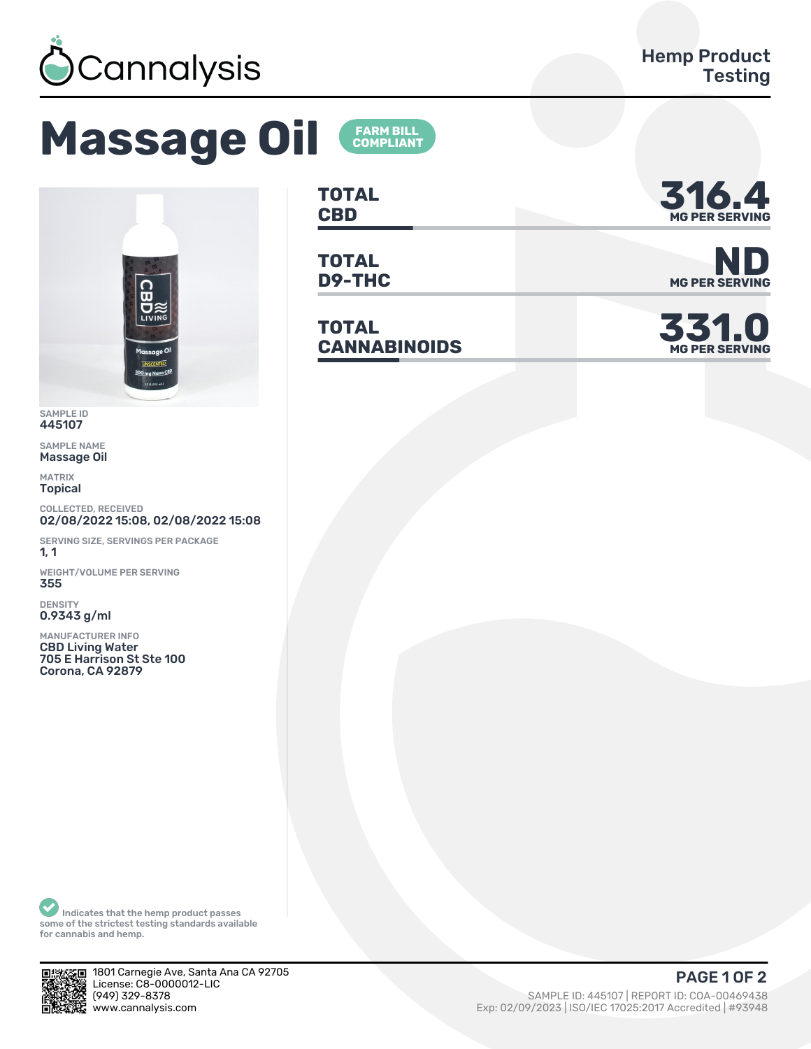

## **Massage Oil**



SAMPLE ID 445107

SAMPLE NAME Massage Oil

MATRIX Topical

COLLECTED, RECEIVED<br>**02/08/2022 15:08, 02/08/2022 15:08** 

SERVING SIZE, SERVINGS PER PACKAGE  $1, 1$ 

WEIGHT/VOLUME PER SERVING 355

DENSITY 0.9343 g/ml

MANUFACTURER INFO CBD Living Water 705 E Harrison St Ste 100 Corona, CA 92879

**FARM BILL<br>COMPLIANT** 



**TOTAL**

**TOTAL CANNABINOIDS ǿǿ1.0**



**D9-THC** MG PER SERVING

**FR SERV** 

Indicates that the hemp product passes some of the strictest testing standards available for cannabis and hemp.



1801 Carnegie Ave, Santa Ana CA 92705 License: C8-0000012-LIC<br>(949) 329-8378

(ȅȀȅ) ǿǾȅ-ȄǿȃȄ SAMPLE ID: ȀȀȁǽǼȃ | REPORT ID: COA-ǼǼȀȂȅȀǿȄ Exp: 02/09/2023 | ISO/IEC 17025:2017 Accredited | #93948